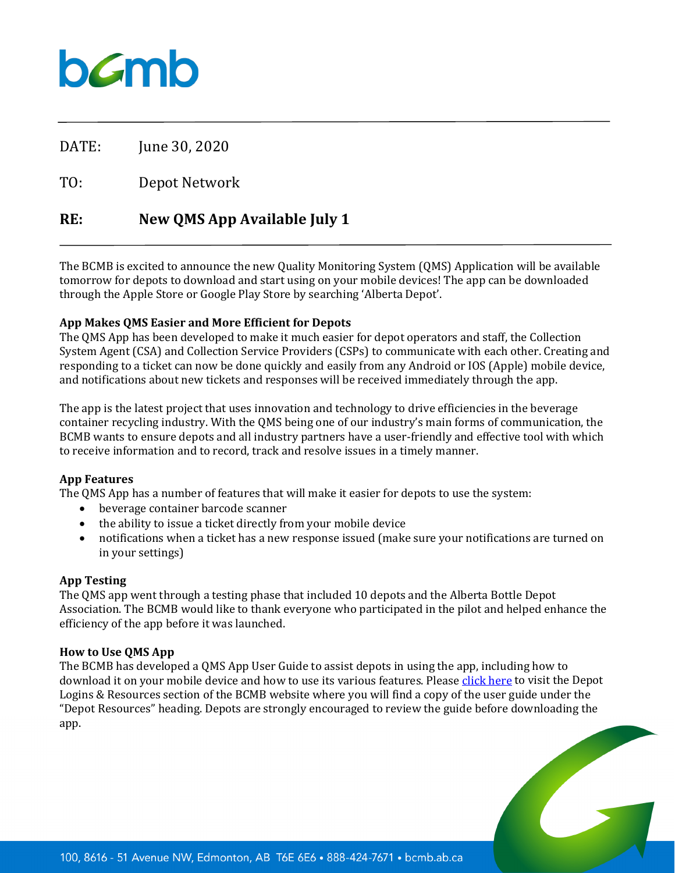## bamb

DATE: June 30, 2020

TO: Depot Network

### **RE: New QMS App Available July 1**

The BCMB is excited to announce the new Quality Monitoring System (QMS) Application will be available tomorrow for depots to download and start using on your mobile devices! The app can be downloaded through the Apple Store or Google Play Store by searching 'Alberta Depot'.

#### **App Makes QMS Easier and More Efficient for Depots**

The QMS App has been developed to make it much easier for depot operators and staff, the Collection System Agent (CSA) and Collection Service Providers (CSPs) to communicate with each other. Creating and responding to a ticket can now be done quickly and easily from any Android or IOS (Apple) mobile device, and notifications about new tickets and responses will be received immediately through the app.

The app is the latest project that uses innovation and technology to drive efficiencies in the beverage container recycling industry. With the QMS being one of our industry's main forms of communication, the BCMB wants to ensure depots and all industry partners have a user-friendly and effective tool with which to receive information and to record, track and resolve issues in a timely manner.

#### **App Features**

The QMS App has a number of features that will make it easier for depots to use the system:

- beverage container barcode scanner
- the ability to issue a ticket directly from your mobile device
- notifications when a ticket has a new response issued (make sure your notifications are turned on in your settings)

#### **App Testing**

The QMS app went through a testing phase that included 10 depots and the Alberta Bottle Depot Association. The BCMB would like to thank everyone who participated in the pilot and helped enhance the efficiency of the app before it was launched.

#### **How to Use QMS App**

The BCMB has developed a QMS App User Guide to assist depots in using the app, including how to download it on your mobile device and how to use its various features. Pleas[e click here](https://www.bcmb.ab.ca/depot-owners-operators/depot-logins-resources/) to visit the Depot Logins & Resources section of the BCMB website where you will find a copy of the user guide under the "Depot Resources" heading. Depots are strongly encouraged to review the guide before downloading the app.